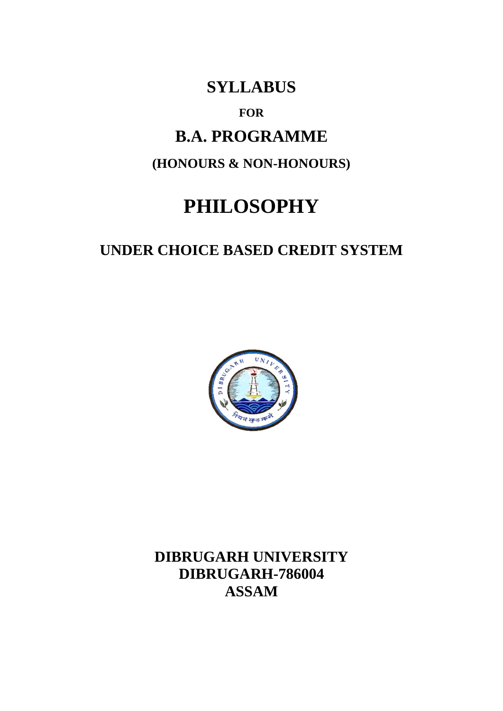# **SYLLABUS**

**FOR**

# **B.A. PROGRAMME**

**(HONOURS & NON-HONOURS)**

# **PHILOSOPHY**

# **UNDER CHOICE BASED CREDIT SYSTEM**



**DIBRUGARH UNIVERSITY DIBRUGARH-786004 ASSAM**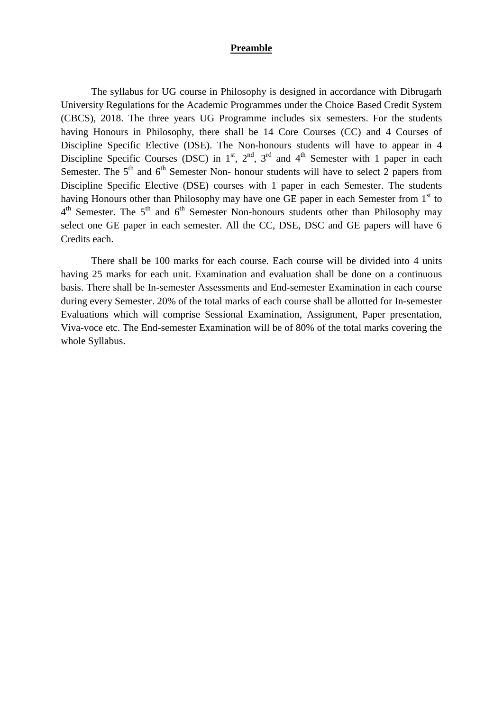### **Preamble**

The syllabus for UG course in Philosophy is designed in accordance with Dibrugarh University Regulations for the Academic Programmes under the Choice Based Credit System (CBCS), 2018. The three years UG Programme includes six semesters. For the students having Honours in Philosophy, there shall be 14 Core Courses (CC) and 4 Courses of Discipline Specific Elective (DSE). The Non-honours students will have to appear in 4 Discipline Specific Courses (DSC) in  $1<sup>st</sup>$ ,  $2<sup>nd</sup>$ ,  $3<sup>rd</sup>$  and  $4<sup>th</sup>$  Semester with 1 paper in each Semester. The  $5<sup>th</sup>$  and  $6<sup>th</sup>$  Semester Non- honour students will have to select 2 papers from Discipline Specific Elective (DSE) courses with 1 paper in each Semester. The students having Honours other than Philosophy may have one GE paper in each Semester from 1<sup>st</sup> to  $4<sup>th</sup>$  Semester. The  $5<sup>th</sup>$  and  $6<sup>th</sup>$  Semester Non-honours students other than Philosophy may select one GE paper in each semester. All the CC, DSE, DSC and GE papers will have 6 Credits each.

There shall be 100 marks for each course. Each course will be divided into 4 units having 25 marks for each unit. Examination and evaluation shall be done on a continuous basis. There shall be In-semester Assessments and End-semester Examination in each course during every Semester. 20% of the total marks of each course shall be allotted for In-semester Evaluations which will comprise Sessional Examination, Assignment, Paper presentation, Viva-voce etc. The End-semester Examination will be of 80% of the total marks covering the whole Syllabus.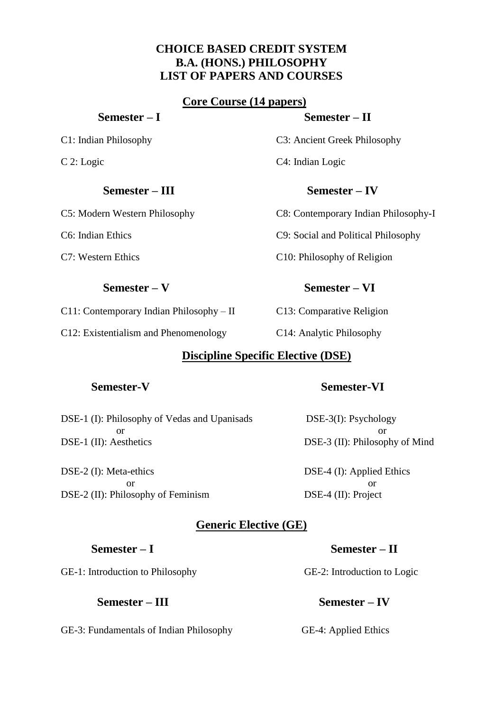# **CHOICE BASED CREDIT SYSTEM B.A. (HONS.) PHILOSOPHY LIST OF PAPERS AND COURSES**

# **Core Course (14 papers)**

# **Semester – III Semester – IV**

C11: Contemporary Indian Philosophy – II C13: Comparative Religion

C12: Existentialism and Phenomenology C14: Analytic Philosophy

# **Discipline Specific Elective (DSE)**

DSE-1 (I): Philosophy of Vedas and Upanisads DSE-3(I): Psychology or or DSE-1 (II): Aesthetics DSE-3 (II): Philosophy of Mind

DSE-2 (I): Meta-ethics DSE-4 (I): Applied Ethics or or DSE-2 (II): Philosophy of Feminism DSE-4 (II): Project

# **Generic Elective (GE)**

GE-1: Introduction to Philosophy GE-2: Introduction to Logic

GE-3: Fundamentals of Indian Philosophy GE-4: Applied Ethics

# **Semester – I Semester – II**

C1: Indian Philosophy C3: Ancient Greek Philosophy

C5: Modern Western Philosophy C8: Contemporary Indian Philosophy-I

C6: Indian Ethics C9: Social and Political Philosophy

C7: Western Ethics C10: Philosophy of Religion

# **Semester – V Semester – VI**

# **Semester-V Semester-VI**

# **Semester – I Semester – II**

 **Semester – III Semester – IV**

# C 2: Logic C4: Indian Logic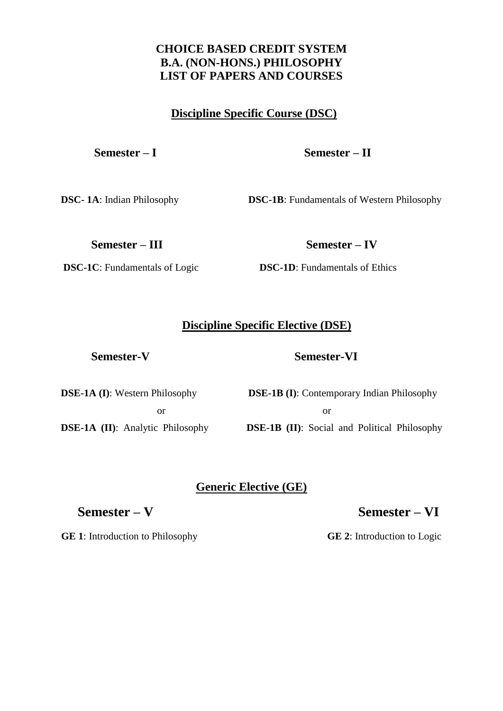# **CHOICE BASED CREDIT SYSTEM B.A. (NON-HONS.) PHILOSOPHY LIST OF PAPERS AND COURSES**

# **Discipline Specific Course (DSC)**

# **Semester – I Semester – II**

**DSC-1A:** Indian Philosophy **DSC-1B:** Fundamentals of Western Philosophy

**Semester – III Semester – IV**

**DSC-1C**: Fundamentals of Logic **DSC-1D**: Fundamentals of Ethics

# **Discipline Specific Elective (DSE)**

# **Semester-V Semester-VI**

**DSE-1A (I)**: Western Philosophy **DSE-1B (I)**: Contemporary Indian Philosophy or or **DSE-1A (II)**: Analytic Philosophy **DSE-1B (II)**: Social and Political Philosophy

# **Generic Elective (GE)**

# **Semester – V Semester – VI**

**GE 1**: Introduction to Philosophy **GE 2**: Introduction to Logic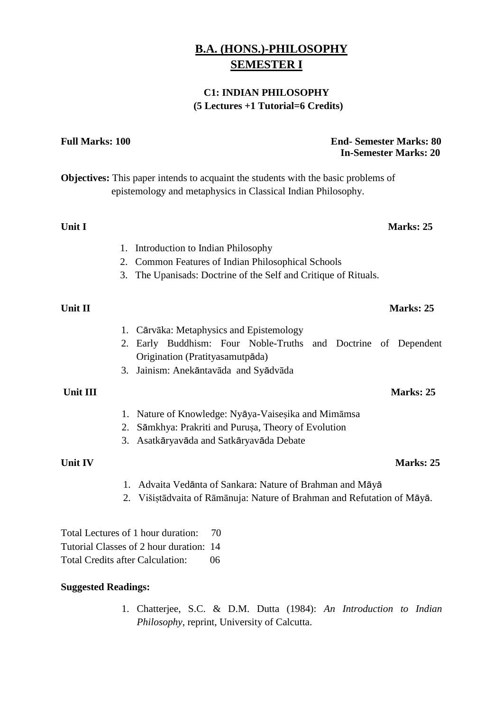# **B.A. (HONS.)-PHILOSOPHY SEMESTER I**

# **C1: INDIAN PHILOSOPHY (5 Lectures +1 Tutorial=6 Credits)**

**Full Marks: 100 End- Semester Marks: 80**

 **In-Semester Marks: 20 Objectives:** This paper intends to acquaint the students with the basic problems of epistemology and metaphysics in Classical Indian Philosophy. **Unit I** Marks: 25 1. Introduction to Indian Philosophy 2. Common Features of Indian Philosophical Schools 3. The Upanisads: Doctrine of the Self and Critique of Rituals. **Unit II** Marks: 25 1. Cārvāka: Metaphysics and Epistemology 2. Early Buddhism: Four Noble-Truths and Doctrine of Dependent Origination (Pratityasamutpāda) 3. Jainism: Anekāntavāda and Syādvāda **Unit III** Marks: 25 1. Nature of Knowledge: Nyāya-Vaiseṣika and Mimāmsa 2. Sāmkhya: Prakriti and Purusa, Theory of Evolution 3. Asatkāryavāda and Satkāryavāda Debate **Unit IV** Marks: 25 1. Advaita Vedānta of Sankara: Nature of Brahman and Māyā

2. Višiṣtādvaita of Rāmānuja: Nature of Brahman and Refutation of Māyā.

Total Lectures of 1 hour duration: 70 Tutorial Classes of 2 hour duration: 14 Total Credits after Calculation: 06

### **Suggested Readings:**

1. Chatterjee, S.C. & D.M. Dutta (1984): *An Introduction to Indian Philosophy*, reprint, University of Calcutta.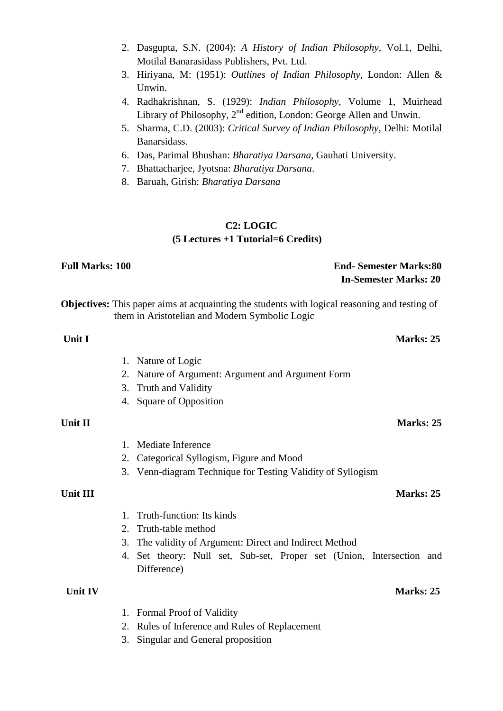- 2. Dasgupta, S.N. (2004): *A History of Indian Philosophy*, Vol.1, Delhi, Motilal Banarasidass Publishers, Pvt. Ltd.
- 3. Hiriyana, M: (1951): *Outlines of Indian Philosophy,* London: Allen & Unwin.
- 4. Radhakrishnan, S. (1929): *Indian Philosophy*, Volume 1, Muirhead Library of Philosophy, 2<sup>nd</sup> edition, London: George Allen and Unwin.
- 5. Sharma, C.D. (2003): *Critical Survey of Indian Philosophy*, Delhi: Motilal Banarsidass.
- 6. Das, Parimal Bhushan: *Bharatiya Darsana*, Gauhati University.
- 7. Bhattacharjee, Jyotsna: *Bharatiya Darsana*.
- 8. Baruah, Girish: *Bharatiya Darsana*

# **C2: LOGIC (5 Lectures +1 Tutorial=6 Credits)**

# **Full Marks: 100 End- Semester Marks:80 In-Semester Marks: 20 Objectives:** This paper aims at acquainting the students with logical reasoning and testing of them in Aristotelian and Modern Symbolic Logic **Unit I** Marks: 25

- 1. Nature of Logic
- 2. Nature of Argument: Argument and Argument Form
- 3. Truth and Validity
- 4. Square of Opposition

### **Unit II** Marks: 25

- 1. Mediate Inference
- 2. Categorical Syllogism, Figure and Mood
- 3. Venn-diagram Technique for Testing Validity of Syllogism

- 1. Truth-function: Its kinds
- 2. Truth-table method
- 3. The validity of Argument: Direct and Indirect Method
- 4. Set theory: Null set, Sub-set, Proper set (Union, Intersection and Difference)

# **Unit IV** Marks: 25

- 1. Formal Proof of Validity
- 2. Rules of Inference and Rules of Replacement
- 3. Singular and General proposition

# **Unit III** Marks: 25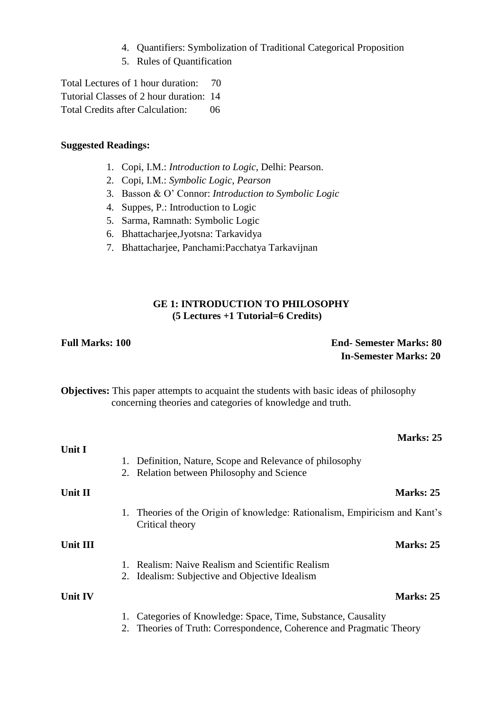- 4. Quantifiers: Symbolization of Traditional Categorical Proposition
- 5. Rules of Quantification

Total Lectures of 1 hour duration: 70 Tutorial Classes of 2 hour duration: 14 Total Credits after Calculation: 06

## **Suggested Readings:**

- 1. Copi, I.M.: *Introduction to Logic*, Delhi: Pearson.
- 2. Copi, I.M.: *Symbolic Logic, Pearson*
- 3. Basson & O' Connor: *Introduction to Symbolic Logic*
- 4. Suppes, P.: Introduction to Logic
- 5. Sarma, Ramnath: Symbolic Logic
- 6. Bhattacharjee,Jyotsna: Tarkavidya
- 7. Bhattacharjee, Panchami:Pacchatya Tarkavijnan

## **GE 1: INTRODUCTION TO PHILOSOPHY (5 Lectures +1 Tutorial=6 Credits)**

# **Full Marks: 100 End- Semester Marks: 80 In-Semester Marks: 20**

**Objectives:** This paper attempts to acquaint the students with basic ideas of philosophy concerning theories and categories of knowledge and truth.

|                |                                                                                                                                       | <b>Marks: 25</b> |
|----------------|---------------------------------------------------------------------------------------------------------------------------------------|------------------|
| Unit I         | Definition, Nature, Scope and Relevance of philosophy<br>1.<br>2. Relation between Philosophy and Science                             |                  |
| Unit II        |                                                                                                                                       | <b>Marks: 25</b> |
|                | 1. Theories of the Origin of knowledge: Rationalism, Empiricism and Kant's<br>Critical theory                                         |                  |
| Unit III       |                                                                                                                                       | <b>Marks: 25</b> |
|                | Realism: Naive Realism and Scientific Realism<br>2. Idealism: Subjective and Objective Idealism                                       |                  |
| <b>Unit IV</b> |                                                                                                                                       | Marks: 25        |
|                | Categories of Knowledge: Space, Time, Substance, Causality<br>1.<br>Theories of Truth: Correspondence, Coherence and Pragmatic Theory |                  |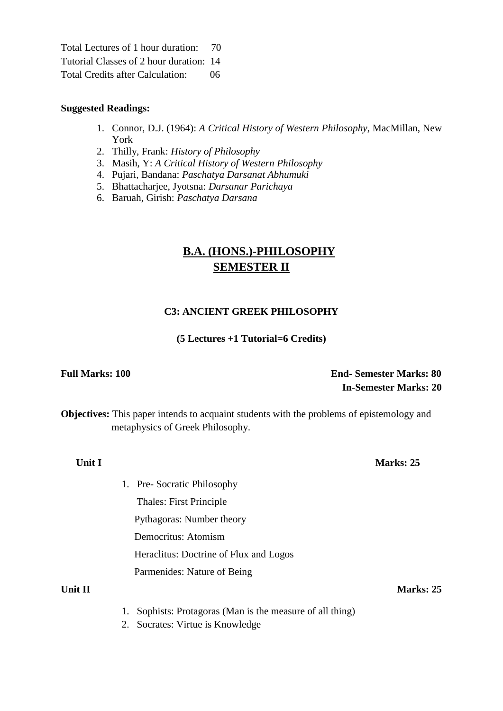Total Lectures of 1 hour duration: 70 Tutorial Classes of 2 hour duration: 14 Total Credits after Calculation: 06

### **Suggested Readings:**

- 1. Connor, D.J. (1964): *A Critical History of Western Philosophy*, MacMillan, New York
- 2. Thilly, Frank: *History of Philosophy*
- 3. Masih, Y: *A Critical History of Western Philosophy*
- 4. Pujari, Bandana: *Paschatya Darsanat Abhumuki*
- 5. Bhattacharjee, Jyotsna: *Darsanar Parichaya*
- 6. Baruah, Girish: *Paschatya Darsana*

# **B.A. (HONS.)-PHILOSOPHY SEMESTER II**

# **C3: ANCIENT GREEK PHILOSOPHY**

### **(5 Lectures +1 Tutorial=6 Credits)**

# **Full Marks: 100 End- Semester Marks: 80 In-Semester Marks: 20**

**Objectives:** This paper intends to acquaint students with the problems of epistemology and metaphysics of Greek Philosophy.

**Unit I** Marks: 25

- 1. Pre- Socratic Philosophy Thales: First Principle Pythagoras: Number theory Democritus: Atomism Heraclitus: Doctrine of Flux and Logos
	- Parmenides: Nature of Being

- **Unit II** Marks: 25
	- 1. Sophists: Protagoras (Man is the measure of all thing)
	- 2. Socrates: Virtue is Knowledge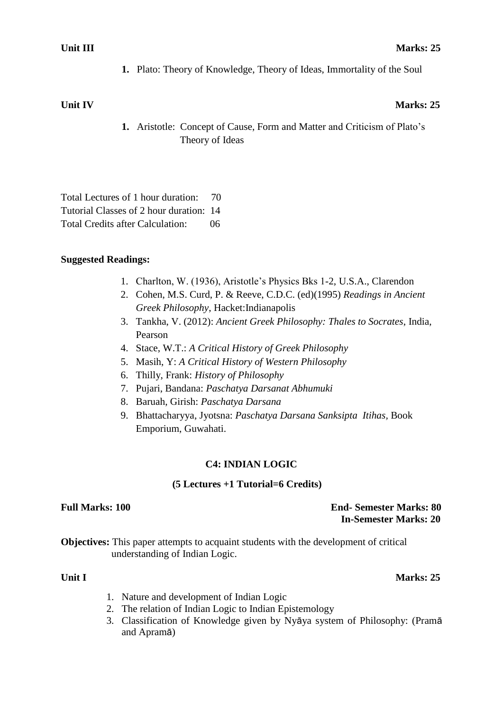**1.** Plato: Theory of Knowledge, Theory of Ideas, Immortality of the Soul

# **Unit IV** Marks: 25

**1.** Aristotle: Concept of Cause, Form and Matter and Criticism of Plato's Theory of Ideas

Total Lectures of 1 hour duration: 70 Tutorial Classes of 2 hour duration: 14 Total Credits after Calculation: 06

# **Suggested Readings:**

- 1. Charlton, W. (1936), Aristotle's Physics Bks 1-2, U.S.A., Clarendon
- 2. Cohen, M.S. Curd, P. & Reeve, C.D.C. (ed)(1995) *Readings in Ancient Greek Philosophy*, Hacket:Indianapolis
- 3. Tankha, V. (2012): *Ancient Greek Philosophy: Thales to Socrates*, India, Pearson
- 4. Stace, W.T.: *A Critical History of Greek Philosophy*
- 5. Masih, Y: *A Critical History of Western Philosophy*
- 6. Thilly, Frank: *History of Philosophy*
- 7. Pujari, Bandana: *Paschatya Darsanat Abhumuki*
- 8. Baruah, Girish: *Paschatya Darsana*
- 9. Bhattacharyya, Jyotsna: *Paschatya Darsana Sanksipta Itihas,* Book Emporium, Guwahati.

# **C4: INDIAN LOGIC**

### **(5 Lectures +1 Tutorial=6 Credits)**

### **Full Marks: 100 End- Semester Marks: 80 In-Semester Marks: 20**

**Objectives:** This paper attempts to acquaint students with the development of critical understanding of Indian Logic.

## **Unit I** Marks: 25

- 1. Nature and development of Indian Logic
- 2. The relation of Indian Logic to Indian Epistemology
- 3. Classification of Knowledge given by Nyāya system of Philosophy: (Pramā and Apramā)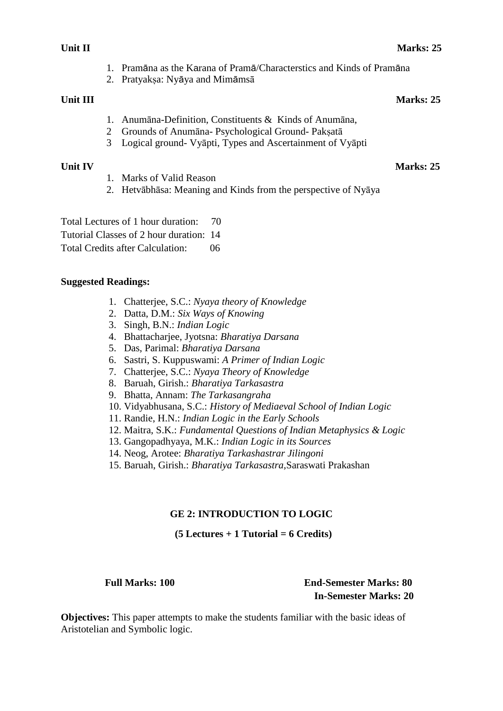- 1. Pramāna as the Karana of Pramā/Characterstics and Kinds of Pramāna
- 2. Pratyaksa: Nyāya and Mimāmsā

# **Unit III** Marks: 25

- 1. Anumāna-Definition, Constituents & Kinds of Anumāna,
- 2 Grounds of Anumāna- Psychological Ground- Pakṣatā
- 3 Logical ground- Vyāpti, Types and Ascertainment of Vyāpti

# **Unit IV** Marks: 25

- 1. Marks of Valid Reason
- 2. Hetvābhāsa: Meaning and Kinds from the perspective of Nyāya

Total Lectures of 1 hour duration: 70

Tutorial Classes of 2 hour duration: 14

Total Credits after Calculation: 06

# **Suggested Readings:**

- 1. Chatterjee, S.C.: *Nyaya theory of Knowledge*
- 2. Datta, D.M.: *Six Ways of Knowing*
- 3. Singh, B.N.: *Indian Logic*
- 4. Bhattacharjee, Jyotsna: *Bharatiya Darsana*
- 5. Das, Parimal: *Bharatiya Darsana*
- 6. Sastri, S. Kuppuswami: *A Primer of Indian Logic*
- 7. Chatterjee, S.C.: *Nyaya Theory of Knowledge*
- 8. Baruah, Girish.: *Bharatiya Tarkasastra*
- 9. Bhatta, Annam: *The Tarkasangraha*
- 10. Vidyabhusana, S.C.: *History of Mediaeval School of Indian Logic*
- 11. Randie, H.N.: *Indian Logic in the Early Schools*
- 12. Maitra, S.K.: *Fundamental Questions of Indian Metaphysics & Logic*
- 13. Gangopadhyaya, M.K.: *Indian Logic in its Sources*
- 14. Neog, Arotee: *Bharatiya Tarkashastrar Jilingoni*
- 15. Baruah, Girish.: *Bharatiya Tarkasastra,*Saraswati Prakashan

# **GE 2: INTRODUCTION TO LOGIC**

# **(5 Lectures + 1 Tutorial = 6 Credits)**

# **Full Marks: 100 End-Semester Marks: 80 In-Semester Marks: 20**

**Objectives:** This paper attempts to make the students familiar with the basic ideas of Aristotelian and Symbolic logic.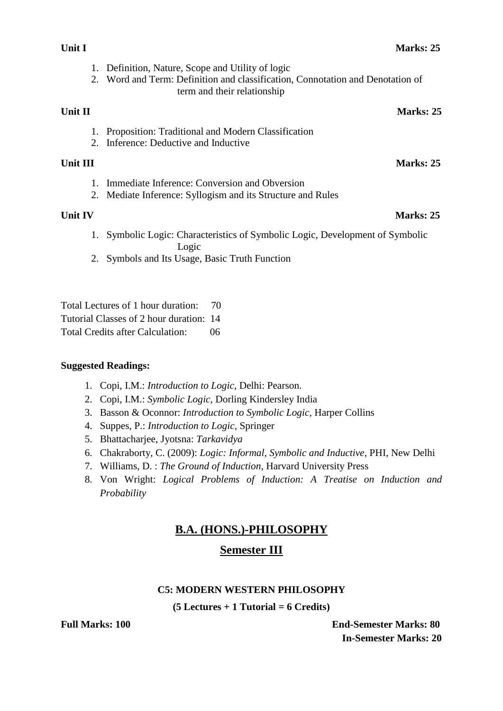- 1. Definition, Nature, Scope and Utility of logic
- 2. Word and Term: Definition and classification, Connotation and Denotation of term and their relationship

## **Unit II** Marks: 25

- 1. Proposition: Traditional and Modern Classification
- 2. Inference: Deductive and Inductive

## **Unit III** Marks: 25

- 1. Immediate Inference: Conversion and Obversion
- 2. Mediate Inference: Syllogism and its Structure and Rules

# **Unit IV** Marks: 25

- 1. Symbolic Logic: Characteristics of Symbolic Logic, Development of Symbolic Logic
- 2. Symbols and Its Usage, Basic Truth Function

Total Lectures of 1 hour duration: 70 Tutorial Classes of 2 hour duration: 14 Total Credits after Calculation: 06

# **Suggested Readings:**

- 1. Copi, I.M.: *Introduction to Logic*, Delhi: Pearson.
- 2. Copi, I.M.: *Symbolic Logic,* Dorling Kindersley India
- 3. Basson & Oconnor: *Introduction to Symbolic Logic,* Harper Collins
- 4. Suppes, P.: *Introduction to Logic*, Springer
- 5. Bhattacharjee, Jyotsna: *Tarkavidya*
- 6. Chakraborty, C. (2009): *Logic: Informal, Symbolic and Inductive*, PHI, New Delhi
- 7. Williams, D. : *The Ground of Induction,* Harvard University Press
- 8. Von Wright: *Logical Problems of Induction: A Treatise on Induction and Probability*

# **B.A. (HONS.)-PHILOSOPHY**

# **Semester III**

### **C5: MODERN WESTERN PHILOSOPHY**

### **(5 Lectures + 1 Tutorial = 6 Credits)**

**Full Marks: 100 End-Semester Marks: 80 In-Semester Marks: 20**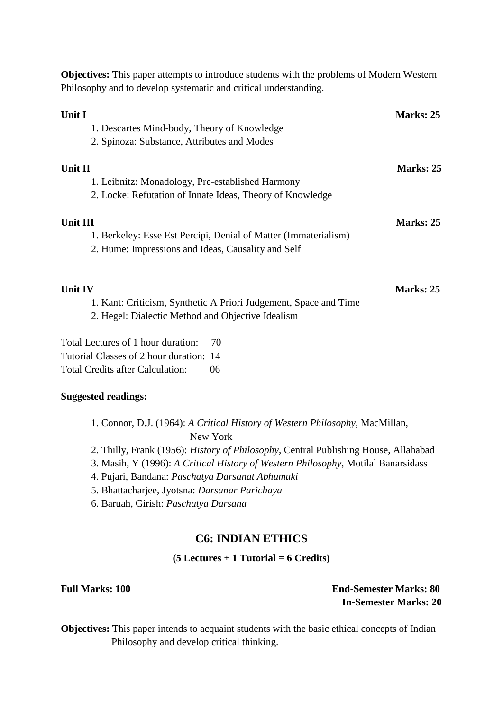| Philosophy and to develop systematic and critical understanding.                                                                         |           |
|------------------------------------------------------------------------------------------------------------------------------------------|-----------|
| Unit I<br>1. Descartes Mind-body, Theory of Knowledge<br>2. Spinoza: Substance, Attributes and Modes                                     | Marks: 25 |
| Unit II<br>1. Leibnitz: Monadology, Pre-established Harmony<br>2. Locke: Refutation of Innate Ideas, Theory of Knowledge                 | Marks: 25 |
| <b>Unit III</b><br>1. Berkeley: Esse Est Percipi, Denial of Matter (Immaterialism)<br>2. Hume: Impressions and Ideas, Causality and Self | Marks: 25 |
| <b>Unit IV</b><br>1. Kant: Criticism, Synthetic A Priori Judgement, Space and Time<br>2. Hegel: Dialectic Method and Objective Idealism  | Marks: 25 |
| Total Lectures of 1 hour duration:<br>70<br>Tutorial Classes of 2 hour duration: 14<br><b>Total Credits after Calculation:</b><br>06     |           |
| <b>Suggested readings:</b>                                                                                                               |           |

**Objectives:** This paper attempts to introduce students with the problems of Modern Western

| 1. Connor, D.J. (1964): A Critical History of Western Philosophy, MacMillan, |  |
|------------------------------------------------------------------------------|--|
| New York                                                                     |  |

- 2. Thilly, Frank (1956): *History of Philosophy*, Central Publishing House, Allahabad
- 3. Masih, Y (1996): *A Critical History of Western Philosophy,* Motilal Banarsidass
- 4. Pujari, Bandana: *Paschatya Darsanat Abhumuki*
- 5. Bhattacharjee, Jyotsna: *Darsanar Parichaya*
- 6. Baruah, Girish: *Paschatya Darsana*

# **C6: INDIAN ETHICS**

### **(5 Lectures + 1 Tutorial = 6 Credits)**

**Full Marks: 100 End-Semester Marks: 80 In-Semester Marks: 20**

**Objectives:** This paper intends to acquaint students with the basic ethical concepts of Indian Philosophy and develop critical thinking.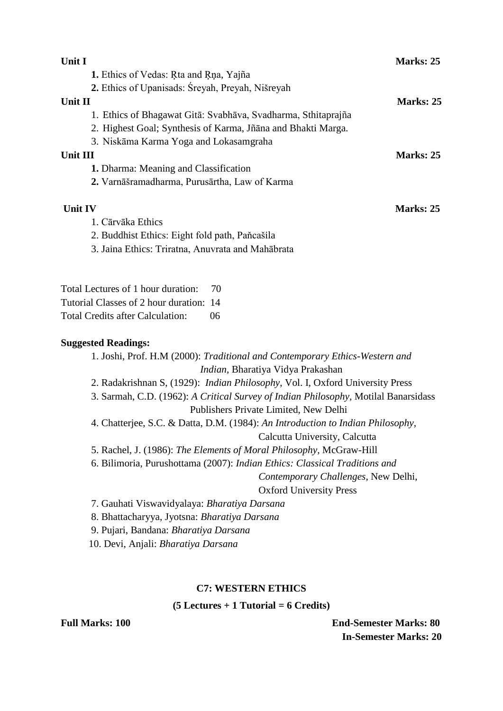| Unit I                                                                                                                               | Marks: 25                                                                           |
|--------------------------------------------------------------------------------------------------------------------------------------|-------------------------------------------------------------------------------------|
| 1. Ethics of Vedas: Rta and Rna, Yajña                                                                                               |                                                                                     |
| 2. Ethics of Upanisads: Sreyah, Preyah, Nišreyah                                                                                     |                                                                                     |
| Unit II                                                                                                                              | Marks: 25                                                                           |
| 1. Ethics of Bhagawat Gitā: Svabhāva, Svadharma, Sthitaprajña                                                                        |                                                                                     |
| 2. Highest Goal; Synthesis of Karma, Jñāna and Bhakti Marga.                                                                         |                                                                                     |
| 3. Niskāma Karma Yoga and Lokasamgraha                                                                                               |                                                                                     |
| <b>Unit III</b>                                                                                                                      | Marks: 25                                                                           |
| 1. Dharma: Meaning and Classification                                                                                                |                                                                                     |
| 2. Varnāšramadharma, Purusārtha, Law of Karma                                                                                        |                                                                                     |
| <b>Unit IV</b>                                                                                                                       | Marks: 25                                                                           |
| 1. Cārvāka Ethics                                                                                                                    |                                                                                     |
| 2. Buddhist Ethics: Eight fold path, Paňcašila                                                                                       |                                                                                     |
| 3. Jaina Ethics: Triratna, Anuvrata and Mahābrata                                                                                    |                                                                                     |
| Total Lectures of 1 hour duration:<br>70<br>Tutorial Classes of 2 hour duration: 14<br><b>Total Credits after Calculation:</b><br>06 |                                                                                     |
| <b>Suggested Readings:</b>                                                                                                           |                                                                                     |
|                                                                                                                                      | 1. Joshi, Prof. H.M (2000): Traditional and Contemporary Ethics-Western and         |
|                                                                                                                                      | Indian, Bharatiya Vidya Prakashan                                                   |
|                                                                                                                                      | 2. Radakrishnan S, (1929): Indian Philosophy, Vol. I, Oxford University Press       |
|                                                                                                                                      | 3. Sarmah, C.D. (1962): A Critical Survey of Indian Philosophy, Motilal Banarsidass |
|                                                                                                                                      | Publishers Private Limited, New Delhi                                               |
|                                                                                                                                      | 4. Chatterjee, S.C. & Datta, D.M. (1984): An Introduction to Indian Philosophy,     |
|                                                                                                                                      | Calcutta University, Calcutta                                                       |
| 5. Rachel, J. (1986): The Elements of Moral Philosophy, McGraw-Hill                                                                  |                                                                                     |
| 6. Bilimoria, Purushottama (2007): Indian Ethics: Classical Traditions and                                                           |                                                                                     |
|                                                                                                                                      | Contemporary Challenges, New Delhi,                                                 |
|                                                                                                                                      | <b>Oxford University Press</b>                                                      |
| 7. Gauhati Viswavidyalaya: Bharatiya Darsana                                                                                         |                                                                                     |

8. Bhattacharyya, Jyotsna: *Bharatiya Darsana*

9. Pujari, Bandana: *Bharatiya Darsana*

10. Devi, Anjali: *Bharatiya Darsana*

# **C7: WESTERN ETHICS**

**(5 Lectures + 1 Tutorial = 6 Credits)**

**Full Marks: 100 End-Semester Marks: 80 In-Semester Marks: 20**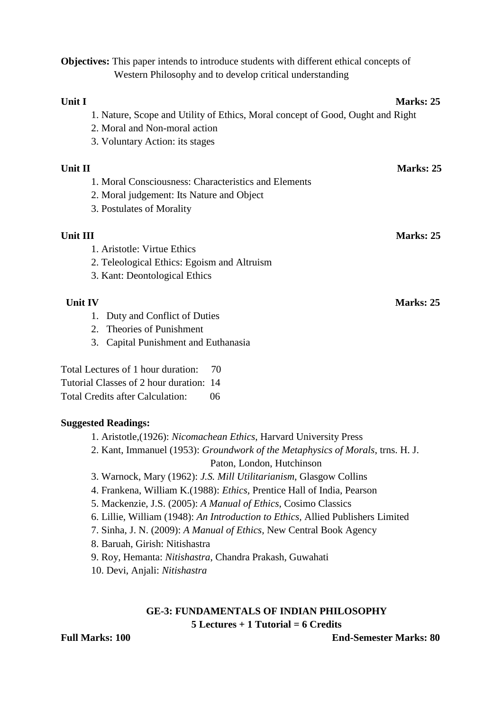**Objectives:** This paper intends to introduce students with different ethical concepts of Western Philosophy and to develop critical understanding

### **Unit I** Marks: 25

- 1. Nature, Scope and Utility of Ethics, Moral concept of Good, Ought and Right
- 2. Moral and Non-moral action
- 3. Voluntary Action: its stages

### **Unit II** Marks: 25

- 1. Moral Consciousness: Characteristics and Elements
- 2. Moral judgement: Its Nature and Object
- 3. Postulates of Morality

# **Unit III** Marks: 25

1. Aristotle: Virtue Ethics

- 2. Teleological Ethics: Egoism and Altruism
- 3. Kant: Deontological Ethics

- 1. Duty and Conflict of Duties
- 2. Theories of Punishment
- 3. Capital Punishment and Euthanasia

Total Lectures of 1 hour duration: 70

Tutorial Classes of 2 hour duration: 14

Total Credits after Calculation: 06

# **Suggested Readings:**

- 1. Aristotle,(1926): *Nicomachean Ethics*, Harvard University Press
- 2. Kant, Immanuel (1953): *Groundwork of the Metaphysics of Morals*, trns. H. J. Paton, London, Hutchinson
- 3. Warnock, Mary (1962): *J.S. Mill Utilitarianism*, Glasgow Collins
- 4. Frankena, William K.(1988): *Ethics,* Prentice Hall of India, Pearson
- 5. Mackenzie, J.S. (2005): *A Manual of Ethics*, Cosimo Classics
- 6. Lillie, William (1948): *An Introduction to Ethics,* Allied Publishers Limited
- 7. Sinha, J. N. (2009): *A Manual of Ethics,* New Central Book Agency
- 8. Baruah, Girish: Nitishastra
- 9. Roy, Hemanta: *Nitishastra*, Chandra Prakash, Guwahati
- 10. Devi, Anjali: *Nitishastra*

# **GE-3: FUNDAMENTALS OF INDIAN PHILOSOPHY 5 Lectures + 1 Tutorial = 6 Credits**

**Full Marks: 100 End-Semester Marks: 80**

*Unit IV* **Marks: 25**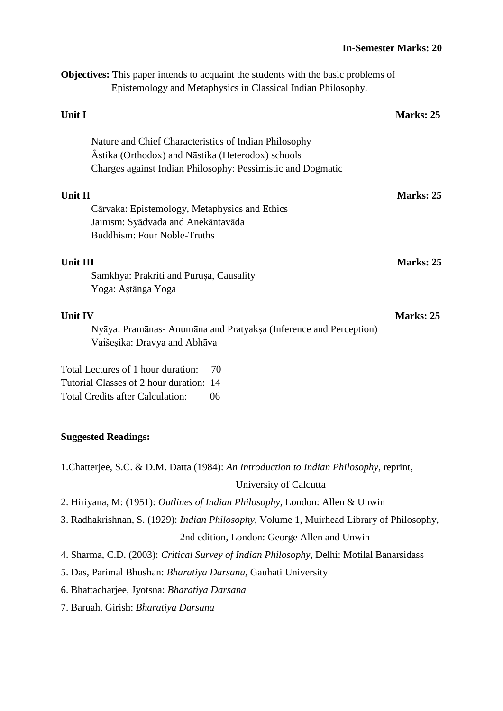**Objectives:** This paper intends to acquaint the students with the basic problems of Epistemology and Metaphysics in Classical Indian Philosophy.

| Unit I                                                                                                                                                                    | Marks: 25 |
|---------------------------------------------------------------------------------------------------------------------------------------------------------------------------|-----------|
| Nature and Chief Characteristics of Indian Philosophy<br>Astika (Orthodox) and Nāstika (Heterodox) schools<br>Charges against Indian Philosophy: Pessimistic and Dogmatic |           |
| Unit II<br>Cārvaka: Epistemology, Metaphysics and Ethics                                                                                                                  | Marks: 25 |
| Jainism: Syādvada and Anekāntavāda<br><b>Buddhism: Four Noble-Truths</b>                                                                                                  |           |
| Unit III<br>Sāmkhya: Prakriti and Purușa, Causality<br>Yoga: Aştānga Yoga                                                                                                 | Marks: 25 |
| <b>Unit IV</b><br>Nyāya: Pramānas- Anumāna and Pratyakṣa (Inference and Perception)<br>Vaišesika: Dravya and Abhāva                                                       | Marks: 25 |
| Total Lectures of 1 hour duration:<br>70<br>Tutorial Classes of 2 hour duration: 14<br><b>Total Credits after Calculation:</b><br>06                                      |           |

### **Suggested Readings:**

1.Chatterjee, S.C. & D.M. Datta (1984): *An Introduction to Indian Philosophy*, reprint,

# University of Calcutta

- 2. Hiriyana, M: (1951): *Outlines of Indian Philosophy*, London: Allen & Unwin
- 3. Radhakrishnan, S. (1929): *Indian Philosophy*, Volume 1, Muirhead Library of Philosophy,

# 2nd edition, London: George Allen and Unwin

- 4. Sharma, C.D. (2003): *Critical Survey of Indian Philosophy*, Delhi: Motilal Banarsidass
- 5. Das, Parimal Bhushan: *Bharatiya Darsana,* Gauhati University
- 6. Bhattacharjee, Jyotsna: *Bharatiya Darsana*
- 7. Baruah, Girish: *Bharatiya Darsana*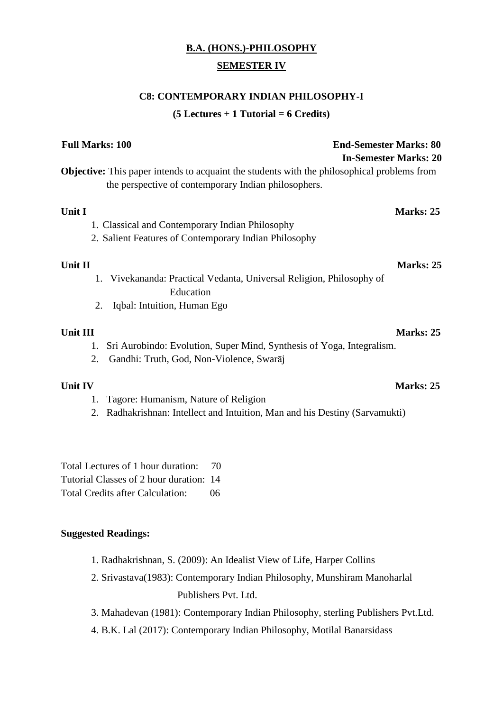# **B.A. (HONS.)-PHILOSOPHY SEMESTER IV**

## **C8: CONTEMPORARY INDIAN PHILOSOPHY-I**

**(5 Lectures + 1 Tutorial = 6 Credits)**

| <b>Full Marks: 100</b><br><b>End-Semester Marks: 80</b><br><b>In-Semester Marks: 20</b>                                                                    |
|------------------------------------------------------------------------------------------------------------------------------------------------------------|
| <b>Objective:</b> This paper intends to acquaint the students with the philosophical problems from<br>the perspective of contemporary Indian philosophers. |
| Unit I<br>Marks: 25                                                                                                                                        |
| 1. Classical and Contemporary Indian Philosophy                                                                                                            |
| 2. Salient Features of Contemporary Indian Philosophy                                                                                                      |
| Unit II<br>Marks: 25<br>1. Vivekananda: Practical Vedanta, Universal Religion, Philosophy of                                                               |
| Education<br>2.<br>Iqbal: Intuition, Human Ego                                                                                                             |
| Unit III<br>Marks: 25                                                                                                                                      |
| Sri Aurobindo: Evolution, Super Mind, Synthesis of Yoga, Integralism.<br>1.                                                                                |
| Gandhi: Truth, God, Non-Violence, Swaraj<br>2.                                                                                                             |
| Marks: 25<br><b>Unit IV</b>                                                                                                                                |
| Tagore: Humanism, Nature of Religion<br>1.                                                                                                                 |
| 2. Radhakrishnan: Intellect and Intuition, Man and his Destiny (Sarvamukti)                                                                                |

Total Lectures of 1 hour duration: 70 Tutorial Classes of 2 hour duration: 14 Total Credits after Calculation: 06

# **Suggested Readings:**

- 1. Radhakrishnan, S. (2009): An Idealist View of Life, Harper Collins
- 2. Srivastava(1983): Contemporary Indian Philosophy, Munshiram Manoharlal Publishers Pvt. Ltd.
- 3. Mahadevan (1981): Contemporary Indian Philosophy, sterling Publishers Pvt.Ltd.
- 4. B.K. Lal (2017): Contemporary Indian Philosophy, Motilal Banarsidass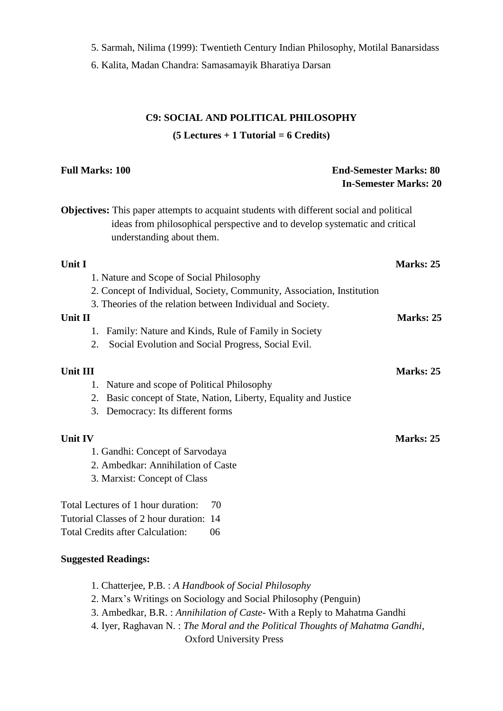5. Sarmah, Nilima (1999): Twentieth Century Indian Philosophy, Motilal Banarsidass

6. Kalita, Madan Chandra: Samasamayik Bharatiya Darsan

# **C9: SOCIAL AND POLITICAL PHILOSOPHY (5 Lectures + 1 Tutorial = 6 Credits)**

# **Full Marks: 100 End-Semester Marks: 80 In-Semester Marks: 20 Objectives:** This paper attempts to acquaint students with different social and political ideas from philosophical perspective and to develop systematic and critical understanding about them. **Unit I** Marks: 25 1. Nature and Scope of Social Philosophy 2. Concept of Individual, Society, Community, Association, Institution 3. Theories of the relation between Individual and Society. **Unit II** Marks: 25 1. Family: Nature and Kinds, Rule of Family in Society 2. Social Evolution and Social Progress, Social Evil. **Unit III** Marks: 25 1. Nature and scope of Political Philosophy 2. Basic concept of State, Nation, Liberty, Equality and Justice 3. Democracy: Its different forms **Unit IV** Marks: 25 1. Gandhi: Concept of Sarvodaya 2. Ambedkar: Annihilation of Caste 3. Marxist: Concept of Class Total Lectures of 1 hour duration: 70 Tutorial Classes of 2 hour duration: 14 Total Credits after Calculation: 06 **Suggested Readings:**

- 1. Chatterjee, P.B. : *A Handbook of Social Philosophy*
- 2. Marx's Writings on Sociology and Social Philosophy (Penguin)
- 3. Ambedkar, B.R. : *Annihilation of Caste* With a Reply to Mahatma Gandhi
- 4. Iyer, Raghavan N. : *The Moral and the Political Thoughts of Mahatma Gandhi*, Oxford University Press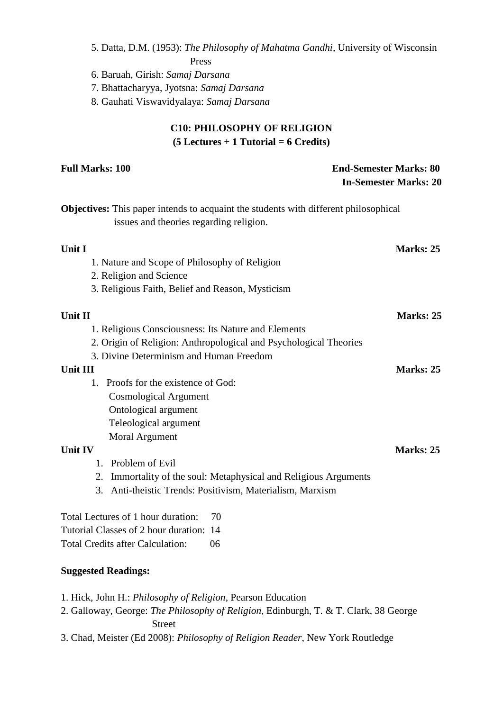5. Datta, D.M. (1953): *The Philosophy of Mahatma Gandhi,* University of Wisconsin Press

6. Baruah, Girish: *Samaj Darsana*

7. Bhattacharyya, Jyotsna: *Samaj Darsana*

8. Gauhati Viswavidyalaya: *Samaj Darsana*

# **C10: PHILOSOPHY OF RELIGION (5 Lectures + 1 Tutorial = 6 Credits)**

| <b>Full Marks: 100</b>                                                                                                                 | <b>End-Semester Marks: 80</b> |  |
|----------------------------------------------------------------------------------------------------------------------------------------|-------------------------------|--|
|                                                                                                                                        | <b>In-Semester Marks: 20</b>  |  |
| <b>Objectives:</b> This paper intends to acquaint the students with different philosophical<br>issues and theories regarding religion. |                               |  |
| Unit I                                                                                                                                 | Marks: 25                     |  |
| 1. Nature and Scope of Philosophy of Religion                                                                                          |                               |  |
| 2. Religion and Science                                                                                                                |                               |  |
| 3. Religious Faith, Belief and Reason, Mysticism                                                                                       |                               |  |
| Unit II                                                                                                                                | Marks: 25                     |  |
| 1. Religious Consciousness: Its Nature and Elements                                                                                    |                               |  |
| 2. Origin of Religion: Anthropological and Psychological Theories                                                                      |                               |  |
| 3. Divine Determinism and Human Freedom                                                                                                |                               |  |
| <b>Unit III</b>                                                                                                                        | Marks: 25                     |  |
| 1. Proofs for the existence of God:                                                                                                    |                               |  |
| <b>Cosmological Argument</b>                                                                                                           |                               |  |
| Ontological argument                                                                                                                   |                               |  |
| Teleological argument                                                                                                                  |                               |  |
| <b>Moral Argument</b>                                                                                                                  |                               |  |
| <b>Unit IV</b>                                                                                                                         | Marks: 25                     |  |
| Problem of Evil<br>1                                                                                                                   |                               |  |
| Immortality of the soul: Metaphysical and Religious Arguments<br>2.                                                                    |                               |  |
| 3. Anti-theistic Trends: Positivism, Materialism, Marxism                                                                              |                               |  |
| Total Lectures of 1 hour duration:<br>70                                                                                               |                               |  |
| Tutorial Classes of 2 hour duration: 14                                                                                                |                               |  |
| <b>Total Credits after Calculation:</b><br>06                                                                                          |                               |  |
| <b>Suggested Readings:</b>                                                                                                             |                               |  |

- 1. Hick, John H.: *Philosophy of Religion*, Pearson Education
- 2. Galloway, George: *The Philosophy of Religion*, Edinburgh, T. & T. Clark, 38 George Street
- 3. Chad, Meister (Ed 2008): *Philosophy of Religion Reader*, New York Routledge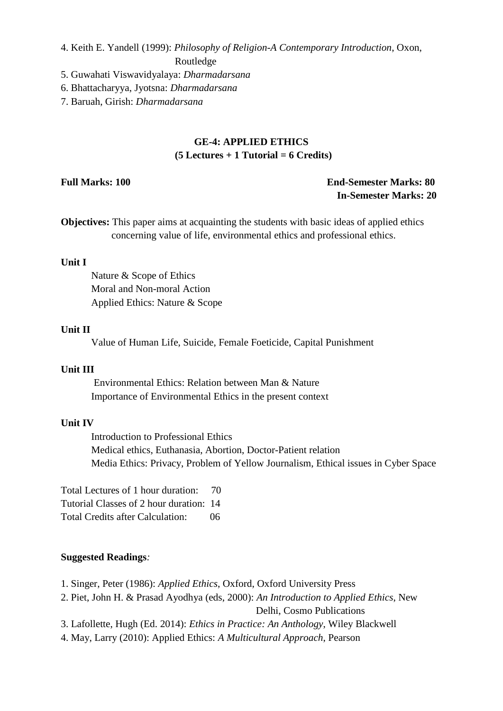4. Keith E. Yandell (1999): *Philosophy of Religion-A Contemporary Introduction*, Oxon,

Routledge

- 5. Guwahati Viswavidyalaya: *Dharmadarsana*
- 6. Bhattacharyya, Jyotsna: *Dharmadarsana*

7. Baruah, Girish: *Dharmadarsana*

# **GE-4: APPLIED ETHICS (5 Lectures + 1 Tutorial = 6 Credits)**

# **Full Marks: 100 End-Semester Marks: 80 In-Semester Marks: 20**

**Objectives:** This paper aims at acquainting the students with basic ideas of applied ethics concerning value of life, environmental ethics and professional ethics.

### **Unit I**

Nature & Scope of Ethics Moral and Non-moral Action Applied Ethics: Nature & Scope

## **Unit II**

Value of Human Life, Suicide, Female Foeticide, Capital Punishment

## **Unit III**

Environmental Ethics: Relation between Man & Nature Importance of Environmental Ethics in the present context

### **Unit IV**

Introduction to Professional Ethics Medical ethics, Euthanasia, Abortion, Doctor-Patient relation Media Ethics: Privacy, Problem of Yellow Journalism, Ethical issues in Cyber Space

Total Lectures of 1 hour duration: 70 Tutorial Classes of 2 hour duration: 14 Total Credits after Calculation: 06

### **Suggested Readings***:*

1. Singer, Peter (1986): *Applied Ethics*, Oxford, Oxford University Press

2. Piet, John H. & Prasad Ayodhya (eds, 2000): *An Introduction to Applied Ethics*, New Delhi, Cosmo Publications

3. Lafollette, Hugh (Ed. 2014): *Ethics in Practice: An Anthology*, Wiley Blackwell

4. May, Larry (2010): Applied Ethics: *A Multicultural Approach*, Pearson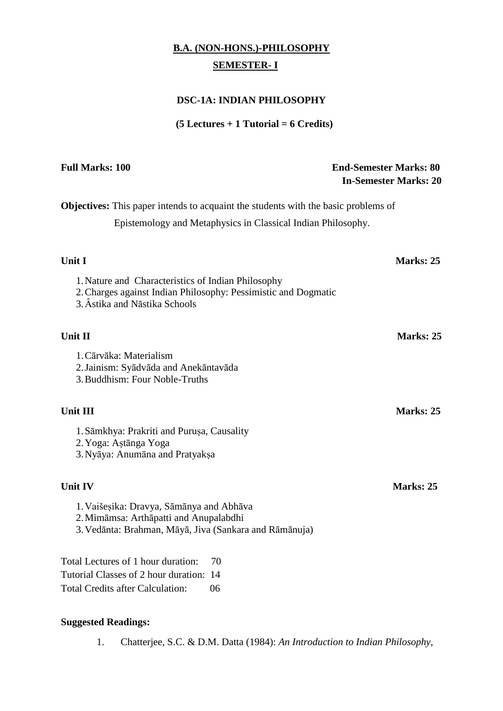# **B.A. (NON-HONS.)-PHILOSOPHY SEMESTER- I**

# **DSC-1A: INDIAN PHILOSOPHY**

# **(5 Lectures + 1 Tutorial = 6 Credits)**

| <b>Full Marks: 100</b>                                                                                                                                | <b>End-Semester Marks: 80</b><br><b>In-Semester Marks: 20</b> |
|-------------------------------------------------------------------------------------------------------------------------------------------------------|---------------------------------------------------------------|
| <b>Objectives:</b> This paper intends to acquaint the students with the basic problems of                                                             |                                                               |
| Epistemology and Metaphysics in Classical Indian Philosophy.                                                                                          |                                                               |
| Unit I                                                                                                                                                | Marks: 25                                                     |
| 1. Nature and Characteristics of Indian Philosophy<br>2. Charges against Indian Philosophy: Pessimistic and Dogmatic<br>3. Âstika and Nāstika Schools |                                                               |
| Unit II                                                                                                                                               | Marks: 25                                                     |
| 1. Cārvāka: Materialism<br>2. Jainism: Syādvāda and Anekāntavāda<br>3. Buddhism: Four Noble-Truths                                                    |                                                               |
| <b>Unit III</b>                                                                                                                                       | Marks: 25                                                     |
| 1. Sāmkhya: Prakriti and Purușa, Causality<br>2. Yoga: Aştānga Yoga<br>3. Nyāya: Anumāna and Pratyakṣa                                                |                                                               |
| Unit IV                                                                                                                                               | Marks: 25                                                     |
| 1. Vaišesika: Dravya, Sāmānya and Abhāva<br>2. Mimāmsa: Arthāpatti and Anupalabdhi<br>3. Vedānta: Brahman, Māyā, Jiva (Sankara and Rāmānuja)          |                                                               |
| Total Lectures of 1 hour duration:<br>70                                                                                                              |                                                               |
| Tutorial Classes of 2 hour duration: 14                                                                                                               |                                                               |

Total Credits after Calculation: 06

# **Suggested Readings:**

1. Chatterjee, S.C. & D.M. Datta (1984): *An Introduction to Indian Philosophy*,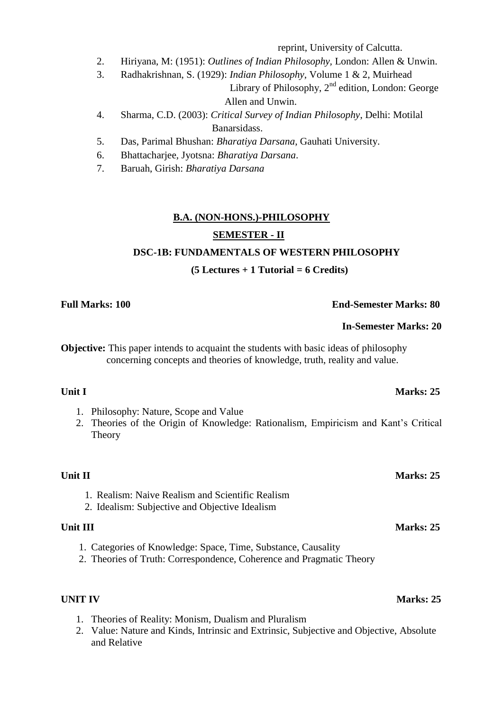reprint, University of Calcutta.

- 2. Hiriyana, M: (1951): *Outlines of Indian Philosophy,* London: Allen & Unwin.
- 3. Radhakrishnan, S. (1929): *Indian Philosophy*, Volume 1 & 2, Muirhead Library of Philosophy,  $2<sup>nd</sup>$  edition, London: George Allen and Unwin.
- 4. Sharma, C.D. (2003): *Critical Survey of Indian Philosophy*, Delhi: Motilal Banarsidass.
- 5. Das, Parimal Bhushan: *Bharatiya Darsana*, Gauhati University.
- 6. Bhattacharjee, Jyotsna: *Bharatiya Darsana*.
- 7. Baruah, Girish: *Bharatiya Darsana*

# **B.A. (NON-HONS.)-PHILOSOPHY**

# **SEMESTER - II**

# **DSC-1B: FUNDAMENTALS OF WESTERN PHILOSOPHY**

# **(5 Lectures + 1 Tutorial = 6 Credits)**

**Full Marks: 100 End-Semester Marks: 80**

# **In-Semester Marks: 20**

**Objective:** This paper intends to acquaint the students with basic ideas of philosophy concerning concepts and theories of knowledge, truth, reality and value.

- 1. Philosophy: Nature, Scope and Value
- 2. Theories of the Origin of Knowledge: Rationalism, Empiricism and Kant's Critical **Theory**

# **Unit II** Marks: 25

- 1. Realism: Naive Realism and Scientific Realism
- 2. Idealism: Subjective and Objective Idealism

- 1. Categories of Knowledge: Space, Time, Substance, Causality
- 2. Theories of Truth: Correspondence, Coherence and Pragmatic Theory

- 1. Theories of Reality: Monism, Dualism and Pluralism
- 2. Value: Nature and Kinds, Intrinsic and Extrinsic, Subjective and Objective, Absolute and Relative

# **Unit I** Marks: 25

# **Unit III** Marks: 25

# **UNIT IV** Marks: 25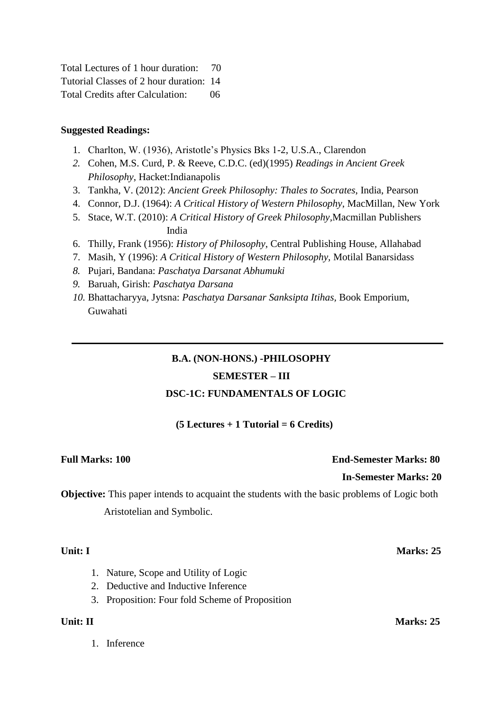| Total Lectures of 1 hour duration:      | -70 |
|-----------------------------------------|-----|
| Tutorial Classes of 2 hour duration: 14 |     |
| <b>Total Credits after Calculation:</b> | 06  |

### **Suggested Readings:**

- 1. Charlton, W. (1936), Aristotle's Physics Bks 1-2, U.S.A., Clarendon
- *2.* Cohen, M.S. Curd, P. & Reeve, C.D.C. (ed)(1995) *Readings in Ancient Greek Philosophy*, Hacket:Indianapolis
- 3. Tankha, V. (2012): *Ancient Greek Philosophy: Thales to Socrates*, India, Pearson
- 4. Connor, D.J. (1964): *A Critical History of Western Philosophy*, MacMillan, New York
- 5. Stace, W.T. (2010): *A Critical History of Greek Philosophy,*Macmillan Publishers India
- 6. Thilly, Frank (1956): *History of Philosophy*, Central Publishing House, Allahabad
- 7. Masih, Y (1996): *A Critical History of Western Philosophy,* Motilal Banarsidass
- *8.* Pujari, Bandana: *Paschatya Darsanat Abhumuki*
- *9.* Baruah, Girish: *Paschatya Darsana*
- *10.* Bhattacharyya, Jytsna: *Paschatya Darsanar Sanksipta Itihas,* Book Emporium, Guwahati

# **B.A. (NON-HONS.) -PHILOSOPHY**

# **SEMESTER – III**

### **DSC-1C: FUNDAMENTALS OF LOGIC**

### **(5 Lectures + 1 Tutorial = 6 Credits)**

# **Full Marks: 100 End-Semester Marks: 80**

### **In-Semester Marks: 20**

**Objective:** This paper intends to acquaint the students with the basic problems of Logic both Aristotelian and Symbolic.

### **Unit: I Marks: 25**

- 1. Nature, Scope and Utility of Logic
- 2. Deductive and Inductive Inference
- 3. Proposition: Four fold Scheme of Proposition

1. Inference

**Unit:** II Marks: 25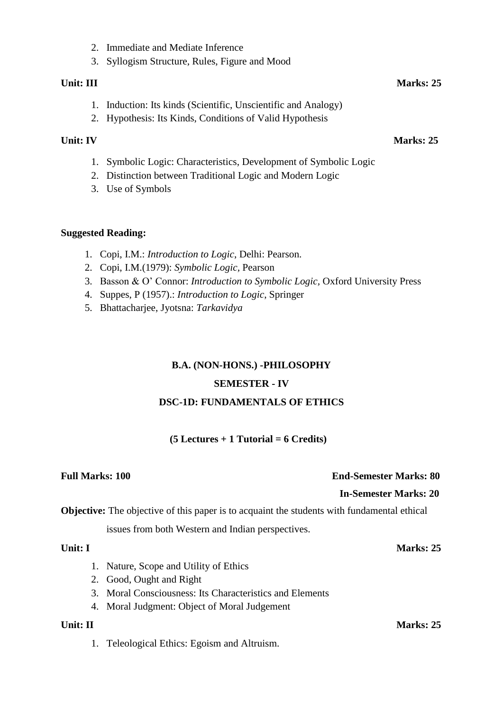- 2. Immediate and Mediate Inference
- 3. Syllogism Structure, Rules, Figure and Mood

### **Unit:** III Marks: 25

- 1. Induction: Its kinds (Scientific, Unscientific and Analogy)
- 2. Hypothesis: Its Kinds, Conditions of Valid Hypothesis

### **Unit: IV** Marks: 25

- 1. Symbolic Logic: Characteristics, Development of Symbolic Logic
- 2. Distinction between Traditional Logic and Modern Logic
- 3. Use of Symbols

### **Suggested Reading:**

- 1. Copi, I.M.: *Introduction to Logic*, Delhi: Pearson.
- 2. Copi, I.M.(1979): *Symbolic Logic,* Pearson
- 3. Basson & O' Connor: *Introduction to Symbolic Logic,* Oxford University Press
- 4. Suppes, P (1957).: *Introduction to Logic*, Springer
- 5. Bhattacharjee, Jyotsna: *Tarkavidya*

# **B.A. (NON-HONS.) -PHILOSOPHY**

### **SEMESTER - IV**

# **DSC-1D: FUNDAMENTALS OF ETHICS**

# **(5 Lectures + 1 Tutorial = 6 Credits)**

# **Full Marks: 100 End-Semester Marks: 80**

### **In-Semester Marks: 20**

**Objective:** The objective of this paper is to acquaint the students with fundamental ethical

issues from both Western and Indian perspectives.

- 1. Nature, Scope and Utility of Ethics
- 2. Good, Ought and Right
- 3. Moral Consciousness: Its Characteristics and Elements
- 4. Moral Judgment: Object of Moral Judgement

1. Teleological Ethics: Egoism and Altruism.

# **Unit: I** Marks: 25

# **Unit: II Marks: 25**